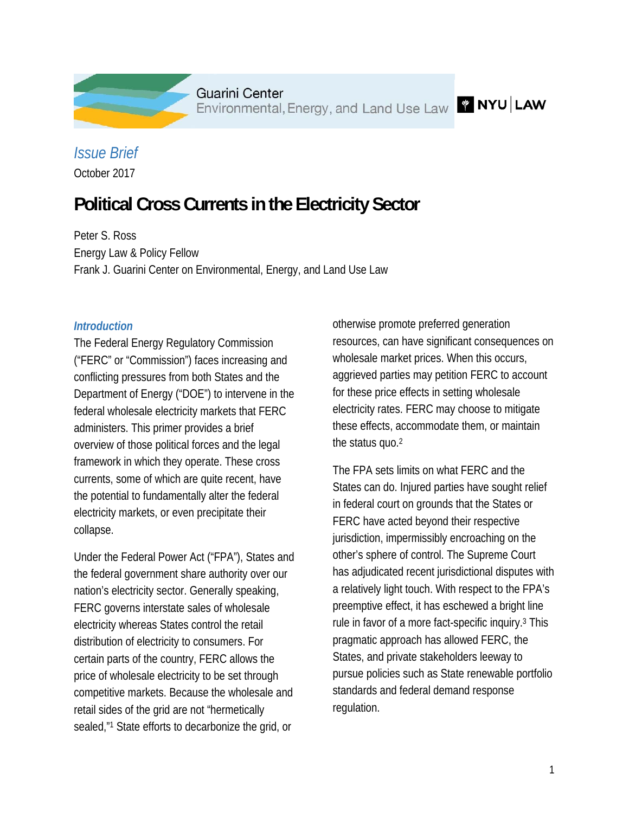

Guarini Center Environmental, Energy, and Land Use Law **WINYU | LAW** 

# *Issue Brief*

October 2017

# **Political Cross Currents in the Electricity Sector**

Peter S. Ross Energy Law & Policy Fellow Frank J. Guarini Center on Environmental, Energy, and Land Use Law

#### *Introduction*

The Federal Energy Regulatory Commission ("FERC" or "Commission") faces increasing and conflicting pressures from both States and the Department of Energy ("DOE") to intervene in the federal wholesale electricity markets that FERC administers. This primer provides a brief overview of those political forces and the legal framework in which they operate. These cross currents, some of which are quite recent, have the potential to fundamentally alter the federal electricity markets, or even precipitate their collapse.

Under the Federal Power Act ("FPA"), States and the federal government share authority over our nation's electricity sector. Generally speaking, FERC governs interstate sales of wholesale electricity whereas States control the retail distribution of electricity to consumers. For certain parts of the country, FERC allows the price of wholesale electricity to be set through competitive markets. Because the wholesale and retail sides of the grid are not "hermetically sealed,"<sup>1</sup> State efforts to decarbonize the grid, or

otherwise promote preferred generation resources, can have significant consequences on wholesale market prices. When this occurs, aggrieved parties may petition FERC to account for these price effects in setting wholesale electricity rates. FERC may choose to mitigate these effects, accommodate them, or maintain the status quo.2

The FPA sets limits on what FERC and the States can do. Injured parties have sought relief in federal court on grounds that the States or FERC have acted beyond their respective jurisdiction, impermissibly encroaching on the other's sphere of control. The Supreme Court has adjudicated recent jurisdictional disputes with a relatively light touch. With respect to the FPA's preemptive effect, it has eschewed a bright line rule in favor of a more fact-specific inquiry.3 This pragmatic approach has allowed FERC, the States, and private stakeholders leeway to pursue policies such as State renewable portfolio standards and federal demand response regulation.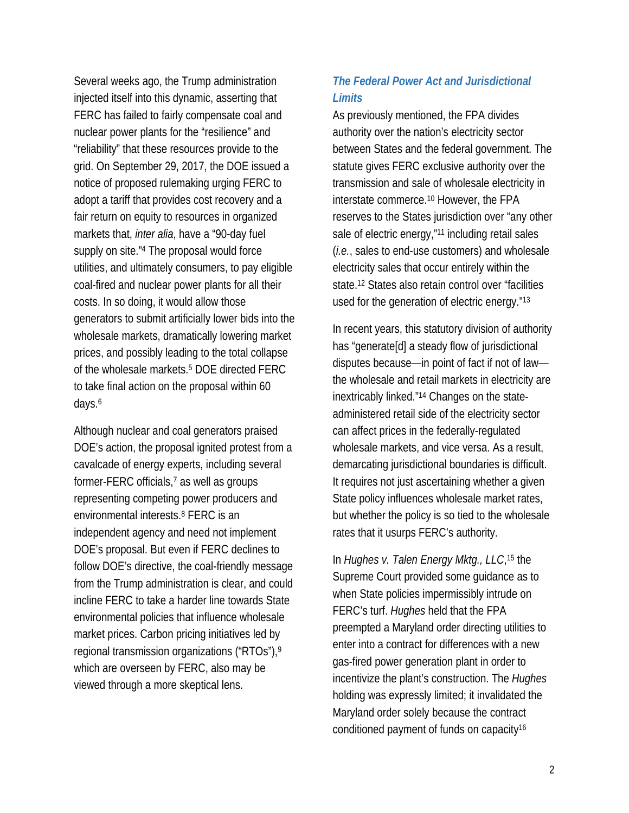Several weeks ago, the Trump administration injected itself into this dynamic, asserting that FERC has failed to fairly compensate coal and nuclear power plants for the "resilience" and "reliability" that these resources provide to the grid. On September 29, 2017, the DOE issued a notice of proposed rulemaking urging FERC to adopt a tariff that provides cost recovery and a fair return on equity to resources in organized markets that, *inter alia*, have a "90-day fuel supply on site."4 The proposal would force utilities, and ultimately consumers, to pay eligible coal-fired and nuclear power plants for all their costs. In so doing, it would allow those generators to submit artificially lower bids into the wholesale markets, dramatically lowering market prices, and possibly leading to the total collapse of the wholesale markets.5 DOE directed FERC to take final action on the proposal within 60 days.6

Although nuclear and coal generators praised DOE's action, the proposal ignited protest from a cavalcade of energy experts, including several former-FERC officials,7 as well as groups representing competing power producers and environmental interests.8 FERC is an independent agency and need not implement DOE's proposal. But even if FERC declines to follow DOE's directive, the coal-friendly message from the Trump administration is clear, and could incline FERC to take a harder line towards State environmental policies that influence wholesale market prices. Carbon pricing initiatives led by regional transmission organizations ("RTOs"),9 which are overseen by FERC, also may be viewed through a more skeptical lens.

### *The Federal Power Act and Jurisdictional Limits*

As previously mentioned, the FPA divides authority over the nation's electricity sector between States and the federal government. The statute gives FERC exclusive authority over the transmission and sale of wholesale electricity in interstate commerce.10 However, the FPA reserves to the States jurisdiction over "any other sale of electric energy,"<sup>11</sup> including retail sales (*i.e.*, sales to end-use customers) and wholesale electricity sales that occur entirely within the state.12 States also retain control over "facilities used for the generation of electric energy."13

In recent years, this statutory division of authority has "generate[d] a steady flow of jurisdictional disputes because—in point of fact if not of law the wholesale and retail markets in electricity are inextricably linked."14 Changes on the stateadministered retail side of the electricity sector can affect prices in the federally-regulated wholesale markets, and vice versa. As a result, demarcating jurisdictional boundaries is difficult. It requires not just ascertaining whether a given State policy influences wholesale market rates, but whether the policy is so tied to the wholesale rates that it usurps FERC's authority.

In *Hughes v. Talen Energy Mktg., LLC*, 15 the Supreme Court provided some guidance as to when State policies impermissibly intrude on FERC's turf. *Hughes* held that the FPA preempted a Maryland order directing utilities to enter into a contract for differences with a new gas-fired power generation plant in order to incentivize the plant's construction. The *Hughes* holding was expressly limited; it invalidated the Maryland order solely because the contract conditioned payment of funds on capacity16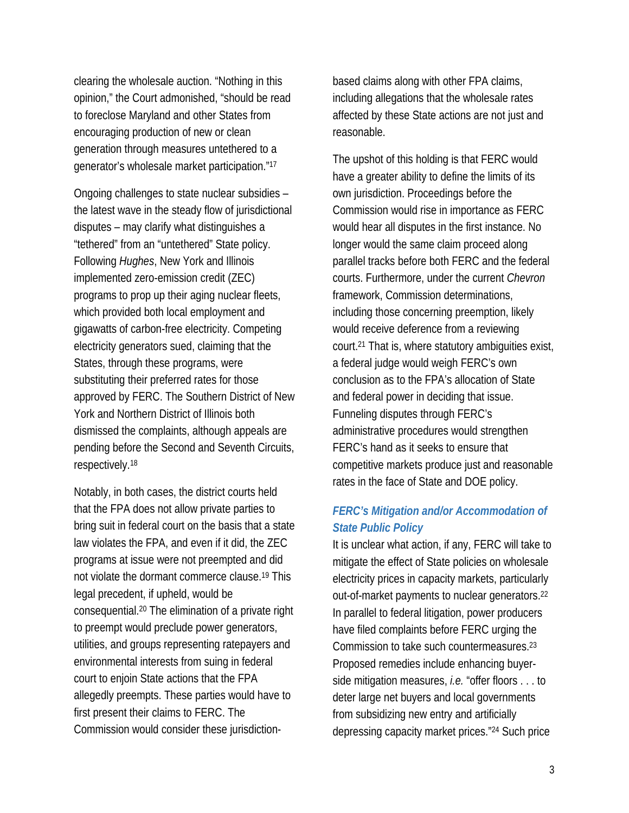clearing the wholesale auction. "Nothing in this opinion," the Court admonished, "should be read to foreclose Maryland and other States from encouraging production of new or clean generation through measures untethered to a generator's wholesale market participation."17

Ongoing challenges to state nuclear subsidies – the latest wave in the steady flow of jurisdictional disputes – may clarify what distinguishes a "tethered" from an "untethered" State policy. Following *Hughes*, New York and Illinois implemented zero-emission credit (ZEC) programs to prop up their aging nuclear fleets, which provided both local employment and gigawatts of carbon-free electricity. Competing electricity generators sued, claiming that the States, through these programs, were substituting their preferred rates for those approved by FERC. The Southern District of New York and Northern District of Illinois both dismissed the complaints, although appeals are pending before the Second and Seventh Circuits, respectively.18

Notably, in both cases, the district courts held that the FPA does not allow private parties to bring suit in federal court on the basis that a state law violates the FPA, and even if it did, the ZEC programs at issue were not preempted and did not violate the dormant commerce clause.19 This legal precedent, if upheld, would be consequential.20 The elimination of a private right to preempt would preclude power generators, utilities, and groups representing ratepayers and environmental interests from suing in federal court to enjoin State actions that the FPA allegedly preempts. These parties would have to first present their claims to FERC. The Commission would consider these jurisdictionbased claims along with other FPA claims, including allegations that the wholesale rates affected by these State actions are not just and reasonable.

The upshot of this holding is that FERC would have a greater ability to define the limits of its own jurisdiction. Proceedings before the Commission would rise in importance as FERC would hear all disputes in the first instance. No longer would the same claim proceed along parallel tracks before both FERC and the federal courts. Furthermore, under the current *Chevron* framework, Commission determinations, including those concerning preemption, likely would receive deference from a reviewing court.21 That is, where statutory ambiguities exist, a federal judge would weigh FERC's own conclusion as to the FPA's allocation of State and federal power in deciding that issue. Funneling disputes through FERC's administrative procedures would strengthen FERC's hand as it seeks to ensure that competitive markets produce just and reasonable rates in the face of State and DOE policy.

## *FERC's Mitigation and/or Accommodation of State Public Policy*

It is unclear what action, if any, FERC will take to mitigate the effect of State policies on wholesale electricity prices in capacity markets, particularly out-of-market payments to nuclear generators.22 In parallel to federal litigation, power producers have filed complaints before FERC urging the Commission to take such countermeasures.23 Proposed remedies include enhancing buyerside mitigation measures, *i.e.* "offer floors . . . to deter large net buyers and local governments from subsidizing new entry and artificially depressing capacity market prices."24 Such price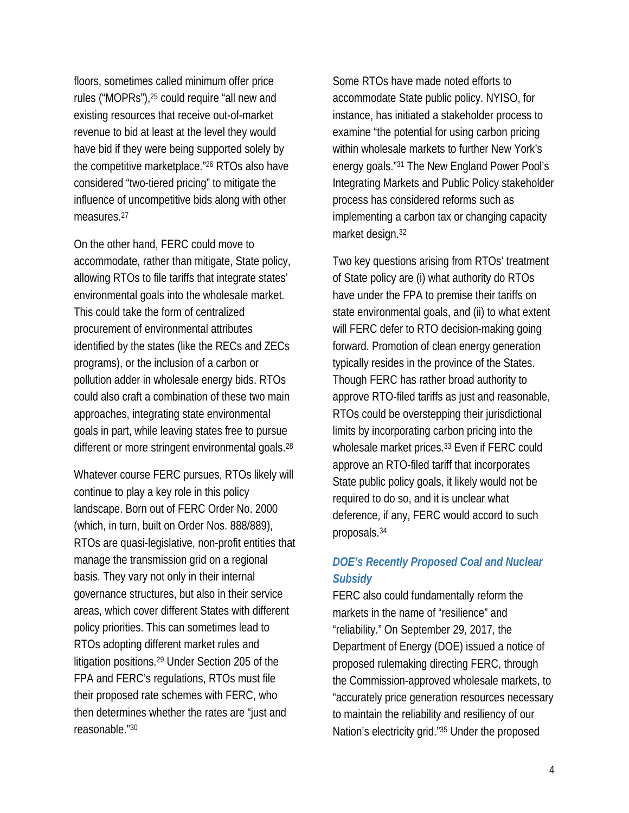floors, sometimes called minimum offer price rules ("MOPRs"),25 could require "all new and existing resources that receive out-of-market revenue to bid at least at the level they would have bid if they were being supported solely by the competitive marketplace."26 RTOs also have considered "two-tiered pricing" to mitigate the influence of uncompetitive bids along with other measures.<sup>27</sup>

On the other hand, FERC could move to accommodate, rather than mitigate, State policy, allowing RTOs to file tariffs that integrate states' environmental goals into the wholesale market. This could take the form of centralized procurement of environmental attributes identified by the states (like the RECs and ZECs programs), or the inclusion of a carbon or pollution adder in wholesale energy bids. RTOs could also craft a combination of these two main approaches, integrating state environmental goals in part, while leaving states free to pursue different or more stringent environmental goals.<sup>28</sup>

Whatever course FERC pursues, RTOs likely will continue to play a key role in this policy landscape. Born out of FERC Order No. 2000 (which, in turn, built on Order Nos. 888/889), RTOs are quasi-legislative, non-profit entities that manage the transmission grid on a regional basis. They vary not only in their internal governance structures, but also in their service areas, which cover different States with different policy priorities. This can sometimes lead to RTOs adopting different market rules and litigation positions.29 Under Section 205 of the FPA and FERC's regulations, RTOs must file their proposed rate schemes with FERC, who then determines whether the rates are "just and reasonable."30

Some RTOs have made noted efforts to accommodate State public policy. NYISO, for instance, has initiated a stakeholder process to examine "the potential for using carbon pricing within wholesale markets to further New York's energy goals."31 The New England Power Pool's Integrating Markets and Public Policy stakeholder process has considered reforms such as implementing a carbon tax or changing capacity market design.32

Two key questions arising from RTOs' treatment of State policy are (i) what authority do RTOs have under the FPA to premise their tariffs on state environmental goals, and (ii) to what extent will FERC defer to RTO decision-making going forward. Promotion of clean energy generation typically resides in the province of the States. Though FERC has rather broad authority to approve RTO-filed tariffs as just and reasonable, RTOs could be overstepping their jurisdictional limits by incorporating carbon pricing into the wholesale market prices.<sup>33</sup> Even if FERC could approve an RTO-filed tariff that incorporates State public policy goals, it likely would not be required to do so, and it is unclear what deference, if any, FERC would accord to such proposals.34

## *DOE's Recently Proposed Coal and Nuclear Subsidy*

FERC also could fundamentally reform the markets in the name of "resilience" and "reliability." On September 29, 2017, the Department of Energy (DOE) issued a notice of proposed rulemaking directing FERC, through the Commission-approved wholesale markets, to "accurately price generation resources necessary to maintain the reliability and resiliency of our Nation's electricity grid."35 Under the proposed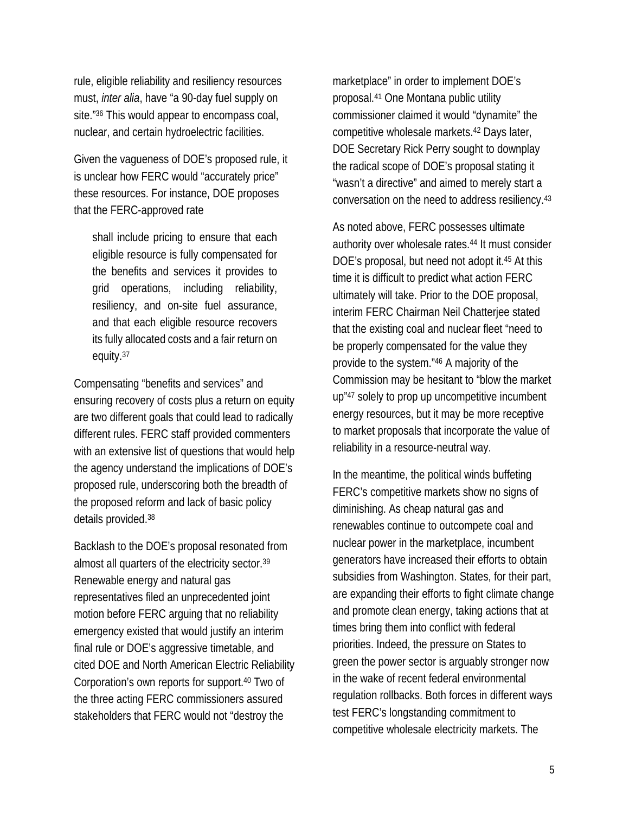rule, eligible reliability and resiliency resources must, *inter alia*, have "a 90-day fuel supply on site."36 This would appear to encompass coal, nuclear, and certain hydroelectric facilities.

Given the vagueness of DOE's proposed rule, it is unclear how FERC would "accurately price" these resources. For instance, DOE proposes that the FERC-approved rate

shall include pricing to ensure that each eligible resource is fully compensated for the benefits and services it provides to grid operations, including reliability, resiliency, and on-site fuel assurance, and that each eligible resource recovers its fully allocated costs and a fair return on equity.37

Compensating "benefits and services" and ensuring recovery of costs plus a return on equity are two different goals that could lead to radically different rules. FERC staff provided commenters with an extensive list of questions that would help the agency understand the implications of DOE's proposed rule, underscoring both the breadth of the proposed reform and lack of basic policy details provided.38

Backlash to the DOE's proposal resonated from almost all quarters of the electricity sector.39 Renewable energy and natural gas representatives filed an unprecedented joint motion before FERC arguing that no reliability emergency existed that would justify an interim final rule or DOE's aggressive timetable, and cited DOE and North American Electric Reliability Corporation's own reports for support.40 Two of the three acting FERC commissioners assured stakeholders that FERC would not "destroy the

marketplace" in order to implement DOE's proposal.41 One Montana public utility commissioner claimed it would "dynamite" the competitive wholesale markets.42 Days later, DOE Secretary Rick Perry sought to downplay the radical scope of DOE's proposal stating it "wasn't a directive" and aimed to merely start a conversation on the need to address resiliency.43

As noted above, FERC possesses ultimate authority over wholesale rates.44 It must consider DOE's proposal, but need not adopt it.45 At this time it is difficult to predict what action FERC ultimately will take. Prior to the DOE proposal, interim FERC Chairman Neil Chatterjee stated that the existing coal and nuclear fleet "need to be properly compensated for the value they provide to the system."46 A majority of the Commission may be hesitant to "blow the market up"47 solely to prop up uncompetitive incumbent energy resources, but it may be more receptive to market proposals that incorporate the value of reliability in a resource-neutral way.

In the meantime, the political winds buffeting FERC's competitive markets show no signs of diminishing. As cheap natural gas and renewables continue to outcompete coal and nuclear power in the marketplace, incumbent generators have increased their efforts to obtain subsidies from Washington. States, for their part, are expanding their efforts to fight climate change and promote clean energy, taking actions that at times bring them into conflict with federal priorities. Indeed, the pressure on States to green the power sector is arguably stronger now in the wake of recent federal environmental regulation rollbacks. Both forces in different ways test FERC's longstanding commitment to competitive wholesale electricity markets. The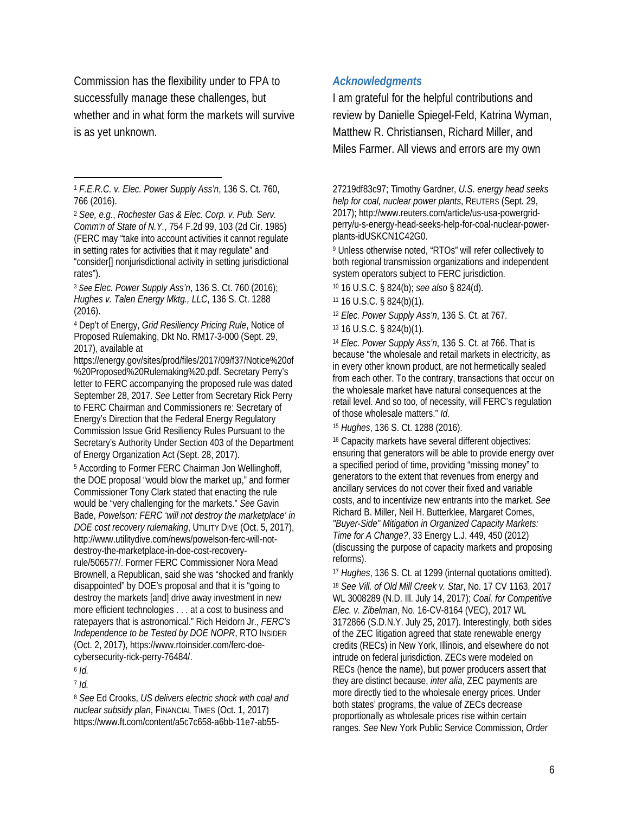Commission has the flexibility under to FPA to successfully manage these challenges, but whether and in what form the markets will survive is as yet unknown.

<sup>2</sup> *See, e.g.*, *Rochester Gas & Elec. Corp. v. Pub. Serv. Comm'n of State of N.Y.*, 754 F.2d 99, 103 (2d Cir. 1985) (FERC may "take into account activities it cannot regulate in setting rates for activities that it may regulate" and "consider[] nonjurisdictional activity in setting jurisdictional rates").

<sup>3</sup> *See Elec. Power Supply Ass'n*, 136 S. Ct. 760 (2016); *Hughes v. Talen Energy Mktg., LLC*, 136 S. Ct. 1288 (2016).

4 Dep't of Energy, *Grid Resiliency Pricing Rule*, Notice of Proposed Rulemaking, Dkt No. RM17-3-000 (Sept. 29, 2017), available at

https://energy.gov/sites/prod/files/2017/09/f37/Notice%20of %20Proposed%20Rulemaking%20.pdf. Secretary Perry's letter to FERC accompanying the proposed rule was dated September 28, 2017. *See* Letter from Secretary Rick Perry to FERC Chairman and Commissioners re: Secretary of Energy's Direction that the Federal Energy Regulatory Commission Issue Grid Resiliency Rules Pursuant to the Secretary's Authority Under Section 403 of the Department of Energy Organization Act (Sept. 28, 2017).

5 According to Former FERC Chairman Jon Wellinghoff, the DOE proposal "would blow the market up," and former Commissioner Tony Clark stated that enacting the rule would be "very challenging for the markets." *See* Gavin Bade, *Powelson: FERC 'will not destroy the marketplace' in DOE cost recovery rulemaking*, UTILITY DIVE (Oct. 5, 2017), http://www.utilitydive.com/news/powelson-ferc-will-notdestroy-the-marketplace-in-doe-cost-recoveryrule/506577/. Former FERC Commissioner Nora Mead Brownell, a Republican, said she was "shocked and frankly disappointed" by DOE's proposal and that it is "going to destroy the markets [and] drive away investment in new more efficient technologies . . . at a cost to business and ratepayers that is astronomical." Rich Heidorn Jr., *FERC's Independence to be Tested by DOE NOPR*, RTO INSIDER (Oct. 2, 2017), https://www.rtoinsider.com/ferc-doecybersecurity-rick-perry-76484/.

<sup>6</sup> *Id.*

 $\overline{a}$ 

<sup>7</sup> *Id.*

<sup>8</sup> *See* Ed Crooks, *US delivers electric shock with coal and nuclear subsidy plan*, FINANCIAL TIMES (Oct. 1, 2017) https://www.ft.com/content/a5c7c658-a6bb-11e7-ab55-

#### *Acknowledgments*

I am grateful for the helpful contributions and review by Danielle Spiegel-Feld, Katrina Wyman, Matthew R. Christiansen, Richard Miller, and Miles Farmer. All views and errors are my own

27219df83c97; Timothy Gardner, *U.S. energy head seeks help for coal, nuclear power plants*, REUTERS (Sept. 29, 2017); http://www.reuters.com/article/us-usa-powergridperry/u-s-energy-head-seeks-help-for-coal-nuclear-powerplants-idUSKCN1C42G0.

9 Unless otherwise noted, "RTOs" will refer collectively to both regional transmission organizations and independent system operators subject to FERC jurisdiction.

10 16 U.S.C. § 824(b); *see also* § 824(d).

11 16 U.S.C. § 824(b)(1).

<sup>12</sup> *Elec. Power Supply Ass'n*, 136 S. Ct. at 767.

13 16 U.S.C. § 824(b)(1).

<sup>14</sup> *Elec. Power Supply Ass'n*, 136 S. Ct. at 766. That is because "the wholesale and retail markets in electricity, as in every other known product, are not hermetically sealed from each other. To the contrary, transactions that occur on the wholesale market have natural consequences at the retail level. And so too, of necessity, will FERC's regulation of those wholesale matters." *Id*.

<sup>15</sup> *Hughes*, 136 S. Ct. 1288 (2016).

16 Capacity markets have several different objectives: ensuring that generators will be able to provide energy over a specified period of time, providing "missing money" to generators to the extent that revenues from energy and ancillary services do not cover their fixed and variable costs, and to incentivize new entrants into the market. *See* Richard B. Miller, Neil H. Butterklee, Margaret Comes, *"Buyer-Side" Mitigation in Organized Capacity Markets: Time for A Change?*, 33 Energy L.J. 449, 450 (2012) (discussing the purpose of capacity markets and proposing reforms).

<sup>17</sup> *Hughes*, 136 S. Ct. at 1299 (internal quotations omitted). <sup>18</sup> *See Vill. of Old Mill Creek v. Star*, No. 17 CV 1163, 2017 WL 3008289 (N.D. Ill. July 14, 2017); *Coal. for Competitive Elec. v. Zibelman*, No. 16-CV-8164 (VEC), 2017 WL 3172866 (S.D.N.Y. July 25, 2017). Interestingly, both sides of the ZEC litigation agreed that state renewable energy credits (RECs) in New York, Illinois, and elsewhere do not intrude on federal jurisdiction. ZECs were modeled on RECs (hence the name), but power producers assert that they are distinct because, *inter alia*, ZEC payments are more directly tied to the wholesale energy prices. Under both states' programs, the value of ZECs decrease proportionally as wholesale prices rise within certain ranges. *See* New York Public Service Commission, *Order* 

<sup>1</sup> *F.E.R.C. v. Elec. Power Supply Ass'n*, 136 S. Ct. 760, 766 (2016).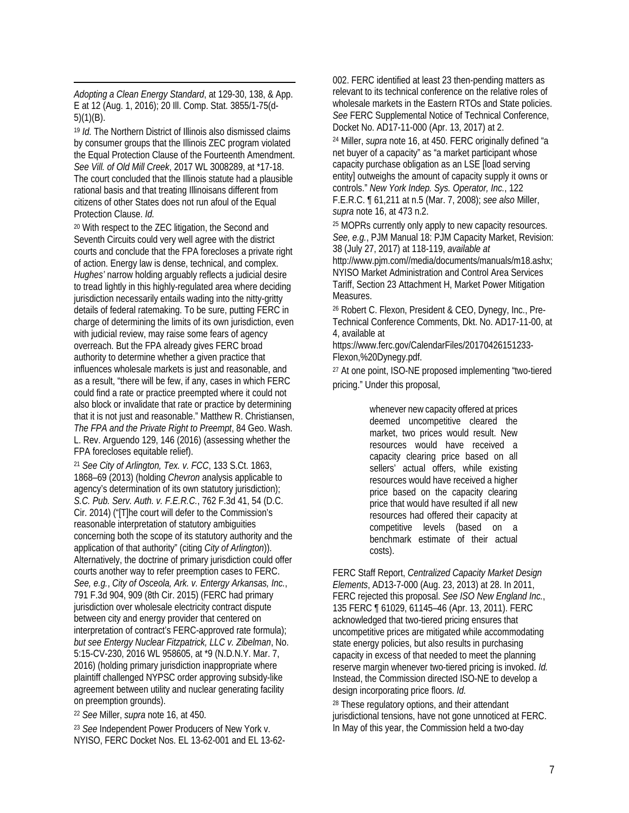$\overline{a}$ *Adopting a Clean Energy Standard*, at 129-30, 138, & App. E at 12 (Aug. 1, 2016); 20 Ill. Comp. Stat. 3855/1-75(d-5)(1)(B).

<sup>19</sup> *Id.* The Northern District of Illinois also dismissed claims by consumer groups that the Illinois ZEC program violated the Equal Protection Clause of the Fourteenth Amendment. *See Vill. of Old Mill Creek*, 2017 WL 3008289, at \*17-18. The court concluded that the Illinois statute had a plausible rational basis and that treating Illinoisans different from citizens of other States does not run afoul of the Equal Protection Clause. *Id.*

20 With respect to the ZEC litigation, the Second and Seventh Circuits could very well agree with the district courts and conclude that the FPA forecloses a private right of action. Energy law is dense, technical, and complex. *Hughes'* narrow holding arguably reflects a judicial desire to tread lightly in this highly-regulated area where deciding jurisdiction necessarily entails wading into the nitty-gritty details of federal ratemaking. To be sure, putting FERC in charge of determining the limits of its own jurisdiction, even with judicial review, may raise some fears of agency overreach. But the FPA already gives FERC broad authority to determine whether a given practice that influences wholesale markets is just and reasonable, and as a result, "there will be few, if any, cases in which FERC could find a rate or practice preempted where it could not also block or invalidate that rate or practice by determining that it is not just and reasonable." Matthew R. Christiansen, *The FPA and the Private Right to Preempt*, 84 Geo. Wash. L. Rev. Arguendo 129, 146 (2016) (assessing whether the FPA forecloses equitable relief).

<sup>21</sup> *See City of Arlington, Tex. v. FCC*, 133 S.Ct. 1863, 1868–69 (2013) (holding *Chevron* analysis applicable to agency's determination of its own statutory jurisdiction); *S.C. Pub. Serv. Auth. v. F.E.R.C.*, 762 F.3d 41, 54 (D.C. Cir. 2014) ("[T]he court will defer to the Commission's reasonable interpretation of statutory ambiguities concerning both the scope of its statutory authority and the application of that authority" (citing *City of Arlington*)). Alternatively, the doctrine of primary jurisdiction could offer courts another way to refer preemption cases to FERC. *See, e.g.*, *City of Osceola, Ark. v. Entergy Arkansas, Inc.*, 791 F.3d 904, 909 (8th Cir. 2015) (FERC had primary jurisdiction over wholesale electricity contract dispute between city and energy provider that centered on interpretation of contract's FERC-approved rate formula); *but see Entergy Nuclear Fitzpatrick, LLC v. Zibelman*, No. 5:15-CV-230, 2016 WL 958605, at \*9 (N.D.N.Y. Mar. 7, 2016) (holding primary jurisdiction inappropriate where plaintiff challenged NYPSC order approving subsidy-like agreement between utility and nuclear generating facility on preemption grounds).

<sup>22</sup> *See* Miller, *supra* note 16, at 450.

<sup>23</sup> *See* Independent Power Producers of New York v. NYISO, FERC Docket Nos. EL 13-62-001 and EL 13-62-

002. FERC identified at least 23 then-pending matters as relevant to its technical conference on the relative roles of wholesale markets in the Eastern RTOs and State policies. *See* FERC Supplemental Notice of Technical Conference, Docket No. AD17-11-000 (Apr. 13, 2017) at 2.

24 Miller, *supra* note 16, at 450. FERC originally defined "a net buyer of a capacity" as "a market participant whose capacity purchase obligation as an LSE [load serving entity] outweighs the amount of capacity supply it owns or controls." *New York Indep. Sys. Operator, Inc.*, 122 F.E.R.C. ¶ 61,211 at n.5 (Mar. 7, 2008); *see also* Miller, *supra* note 16, at 473 n.2.

25 MOPRs currently only apply to new capacity resources. *See, e.g.*, PJM Manual 18: PJM Capacity Market, Revision: 38 (July 27, 2017) at 118-119, *available at* http://www.pjm.com//media/documents/manuals/m18.ashx; NYISO Market Administration and Control Area Services Tariff, Section 23 Attachment H, Market Power Mitigation Measures.

26 Robert C. Flexon, President & CEO, Dynegy, Inc., Pre-Technical Conference Comments, Dkt. No. AD17-11-00, at 4, available at

https://www.ferc.gov/CalendarFiles/20170426151233- Flexon,%20Dynegy.pdf.

27 At one point, ISO-NE proposed implementing "two-tiered pricing." Under this proposal,

> whenever new capacity offered at prices deemed uncompetitive cleared the market, two prices would result. New resources would have received a capacity clearing price based on all sellers' actual offers, while existing resources would have received a higher price based on the capacity clearing price that would have resulted if all new resources had offered their capacity at competitive levels (based on a benchmark estimate of their actual costs).

FERC Staff Report, *Centralized Capacity Market Design Elements*, AD13-7-000 (Aug. 23, 2013) at 28. In 2011, FERC rejected this proposal. *See ISO New England Inc.*, 135 FERC ¶ 61029, 61145–46 (Apr. 13, 2011). FERC acknowledged that two-tiered pricing ensures that uncompetitive prices are mitigated while accommodating state energy policies, but also results in purchasing capacity in excess of that needed to meet the planning reserve margin whenever two-tiered pricing is invoked. *Id.* Instead, the Commission directed ISO-NE to develop a design incorporating price floors. *Id.*

28 These regulatory options, and their attendant jurisdictional tensions, have not gone unnoticed at FERC. In May of this year, the Commission held a two-day